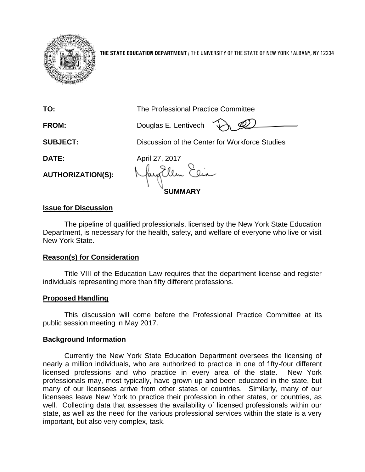

**THE STATE EDUCATION DEPARTMENT** / THE UNIVERSITY OF THE STATE OF NEW YORK / ALBANY, NY 12234

| TO:                      | The Professional Practice Committee            |
|--------------------------|------------------------------------------------|
| FROM:                    | Douglas E. Lentivech                           |
| <b>SUBJECT:</b>          | Discussion of the Center for Workforce Studies |
| DATE:                    | April 27, 2017                                 |
| <b>AUTHORIZATION(S):</b> |                                                |
| <b>MARY</b>              |                                                |

## **Issue for Discussion**

The pipeline of qualified professionals, licensed by the New York State Education Department, is necessary for the health, safety, and welfare of everyone who live or visit New York State.

## **Reason(s) for Consideration**

Title VIII of the Education Law requires that the department license and register individuals representing more than fifty different professions.

## **Proposed Handling**

This discussion will come before the Professional Practice Committee at its public session meeting in May 2017.

## **Background Information**

Currently the New York State Education Department oversees the licensing of nearly a million individuals, who are authorized to practice in one of fifty-four different licensed professions and who practice in every area of the state. New York professionals may, most typically, have grown up and been educated in the state, but many of our licensees arrive from other states or countries. Similarly, many of our licensees leave New York to practice their profession in other states, or countries, as well. Collecting data that assesses the availability of licensed professionals within our state, as well as the need for the various professional services within the state is a very important, but also very complex, task.